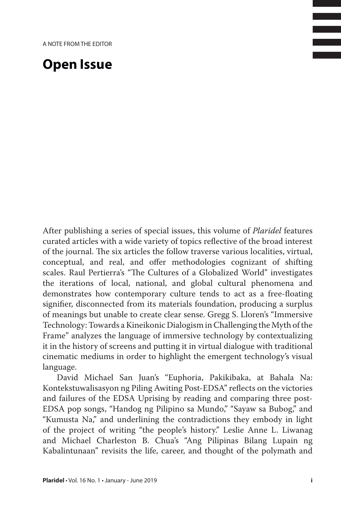## **Open Issue**

After publishing a series of special issues, this volume of *Plaridel* features curated articles with a wide variety of topics reflective of the broad interest of the journal. The six articles the follow traverse various localities, virtual, conceptual, and real, and offer methodologies cognizant of shifting scales. Raul Pertierra's "The Cultures of a Globalized World" investigates the iterations of local, national, and global cultural phenomena and demonstrates how contemporary culture tends to act as a free-floating signifier, disconnected from its materials foundation, producing a surplus of meanings but unable to create clear sense. Gregg S. Lloren's "Immersive Technology: Towards a Kineikonic Dialogism in Challenging the Myth of the Frame" analyzes the language of immersive technology by contextualizing it in the history of screens and putting it in virtual dialogue with traditional cinematic mediums in order to highlight the emergent technology's visual language.

David Michael San Juan's "Euphoria, Pakikibaka, at Bahala Na: Kontekstuwalisasyon ng Piling Awiting Post-EDSA" reflects on the victories and failures of the EDSA Uprising by reading and comparing three post-EDSA pop songs, "Handog ng Pilipino sa Mundo," "Sayaw sa Bubog," and "Kumusta Na," and underlining the contradictions they embody in light of the project of writing "the people's history." Leslie Anne L. Liwanag and Michael Charleston B. Chua's "Ang Pilipinas Bilang Lupain ng Kabalintunaan" revisits the life, career, and thought of the polymath and